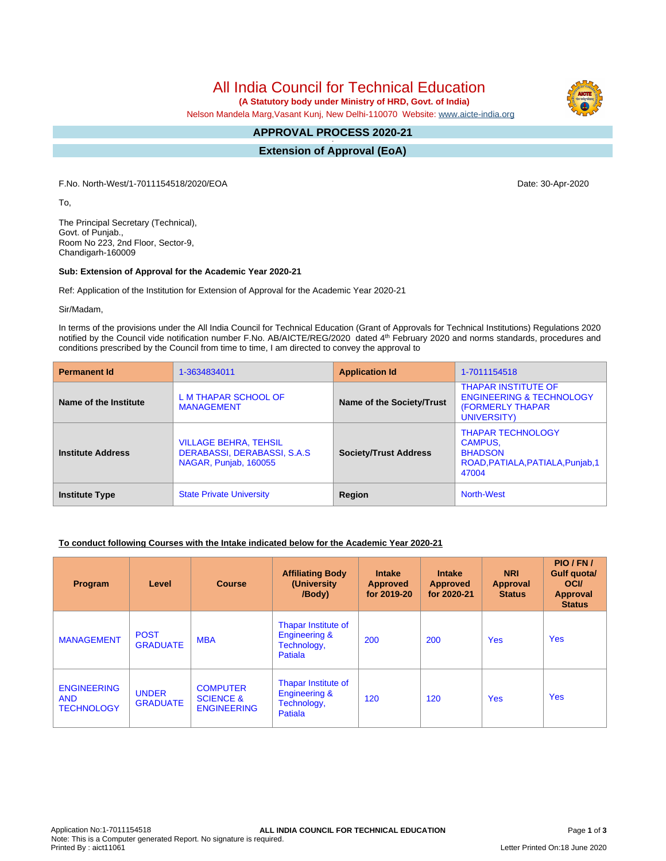All India Council for Technical Education

 **(A Statutory body under Ministry of HRD, Govt. of India)**

Nelson Mandela Marg,Vasant Kunj, New Delhi-110070 Website: [www.aicte-india.org](http://www.aicte-india.org)

# **APPROVAL PROCESS 2020-21**

**- Extension of Approval (EoA)**

F.No. North-West/1-7011154518/2020/EOA Date: 30-Apr-2020

To,

The Principal Secretary (Technical), Govt. of Punjab., Room No 223, 2nd Floor, Sector-9, Chandigarh-160009

#### **Sub: Extension of Approval for the Academic Year 2020-21**

Ref: Application of the Institution for Extension of Approval for the Academic Year 2020-21

Sir/Madam,

In terms of the provisions under the All India Council for Technical Education (Grant of Approvals for Technical Institutions) Regulations 2020 notified by the Council vide notification number F.No. AB/AICTE/REG/2020 dated 4<sup>th</sup> February 2020 and norms standards, procedures and conditions prescribed by the Council from time to time, I am directed to convey the approval to

| <b>Permanent Id</b>      | 1-3634834011                                                                          | <b>Application Id</b>        | 1-7011154518                                                                                                 |  |
|--------------------------|---------------------------------------------------------------------------------------|------------------------------|--------------------------------------------------------------------------------------------------------------|--|
| Name of the Institute    | L M THAPAR SCHOOL OF<br><b>MANAGEMENT</b>                                             | Name of the Society/Trust    | <b>THAPAR INSTITUTE OF</b><br><b>ENGINEERING &amp; TECHNOLOGY</b><br><b>(FORMERLY THAPAR)</b><br>UNIVERSITY) |  |
| <b>Institute Address</b> | <b>VILLAGE BEHRA, TEHSIL</b><br>DERABASSI, DERABASSI, S.A.S.<br>NAGAR, Punjab, 160055 | <b>Society/Trust Address</b> | <b>THAPAR TECHNOLOGY</b><br><b>CAMPUS,</b><br><b>BHADSON</b><br>ROAD, PATIALA, PATIALA, Punjab, 1<br>47004   |  |
| <b>Institute Type</b>    | <b>State Private University</b>                                                       | Region                       | North-West                                                                                                   |  |

### **To conduct following Courses with the Intake indicated below for the Academic Year 2020-21**

| Program                                               | Level                           | <b>Course</b>                                                 | <b>Affiliating Body</b><br>(University)<br>/Body)                         | <b>Intake</b><br><b>Approved</b><br>for 2019-20 | <b>Intake</b><br><b>Approved</b><br>for 2020-21 | <b>NRI</b><br><b>Approval</b><br><b>Status</b> | PIO/FN/<br>Gulf quota/<br><b>OCI</b><br>Approval<br><b>Status</b> |
|-------------------------------------------------------|---------------------------------|---------------------------------------------------------------|---------------------------------------------------------------------------|-------------------------------------------------|-------------------------------------------------|------------------------------------------------|-------------------------------------------------------------------|
| <b>MANAGEMENT</b>                                     | <b>POST</b><br><b>GRADUATE</b>  | <b>MBA</b>                                                    | Thapar Institute of<br><b>Engineering &amp;</b><br>Technology,<br>Patiala | 200                                             | 200                                             | <b>Yes</b>                                     | <b>Yes</b>                                                        |
| <b>ENGINEERING</b><br><b>AND</b><br><b>TECHNOLOGY</b> | <b>UNDER</b><br><b>GRADUATE</b> | <b>COMPUTER</b><br><b>SCIENCE &amp;</b><br><b>ENGINEERING</b> | Thapar Institute of<br><b>Engineering &amp;</b><br>Technology,<br>Patiala | 120                                             | 120                                             | <b>Yes</b>                                     | <b>Yes</b>                                                        |

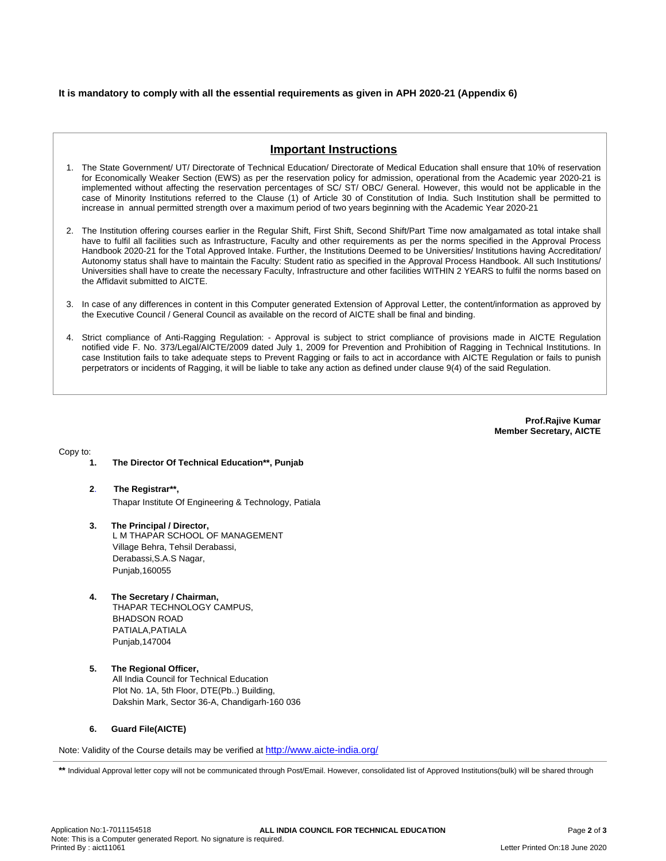### **It is mandatory to comply with all the essential requirements as given in APH 2020-21 (Appendix 6)**

## **Important Instructions**

- 1. The State Government/ UT/ Directorate of Technical Education/ Directorate of Medical Education shall ensure that 10% of reservation for Economically Weaker Section (EWS) as per the reservation policy for admission, operational from the Academic year 2020-21 is implemented without affecting the reservation percentages of SC/ ST/ OBC/ General. However, this would not be applicable in the case of Minority Institutions referred to the Clause (1) of Article 30 of Constitution of India. Such Institution shall be permitted to increase in annual permitted strength over a maximum period of two years beginning with the Academic Year 2020-21
- 2. The Institution offering courses earlier in the Regular Shift, First Shift, Second Shift/Part Time now amalgamated as total intake shall have to fulfil all facilities such as Infrastructure, Faculty and other requirements as per the norms specified in the Approval Process Handbook 2020-21 for the Total Approved Intake. Further, the Institutions Deemed to be Universities/ Institutions having Accreditation/ Autonomy status shall have to maintain the Faculty: Student ratio as specified in the Approval Process Handbook. All such Institutions/ Universities shall have to create the necessary Faculty, Infrastructure and other facilities WITHIN 2 YEARS to fulfil the norms based on the Affidavit submitted to AICTE.
- 3. In case of any differences in content in this Computer generated Extension of Approval Letter, the content/information as approved by the Executive Council / General Council as available on the record of AICTE shall be final and binding.
- 4. Strict compliance of Anti-Ragging Regulation: Approval is subject to strict compliance of provisions made in AICTE Regulation notified vide F. No. 373/Legal/AICTE/2009 dated July 1, 2009 for Prevention and Prohibition of Ragging in Technical Institutions. In case Institution fails to take adequate steps to Prevent Ragging or fails to act in accordance with AICTE Regulation or fails to punish perpetrators or incidents of Ragging, it will be liable to take any action as defined under clause 9(4) of the said Regulation.

**Prof.Rajive Kumar Member Secretary, AICTE**

Copy to:

- **1. The Director Of Technical Education\*\*, Punjab**
- **2**. **The Registrar\*\*,** Thapar Institute Of Engineering & Technology, Patiala
- **3. The Principal / Director,** L M THAPAR SCHOOL OF MANAGEMENT Village Behra, Tehsil Derabassi, Derabassi,S.A.S Nagar, Punjab,160055
- **4. The Secretary / Chairman,** THAPAR TECHNOLOGY CAMPUS, BHADSON ROAD PATIALA,PATIALA Punjab,147004
- **5. The Regional Officer,** All India Council for Technical Education Plot No. 1A, 5th Floor, DTE(Pb..) Building, Dakshin Mark, Sector 36-A, Chandigarh-160 036

#### **6. Guard File(AICTE)**

Note: Validity of the Course details may be verified at <http://www.aicte-india.org/>

**\*\*** Individual Approval letter copy will not be communicated through Post/Email. However, consolidated list of Approved Institutions(bulk) will be shared through